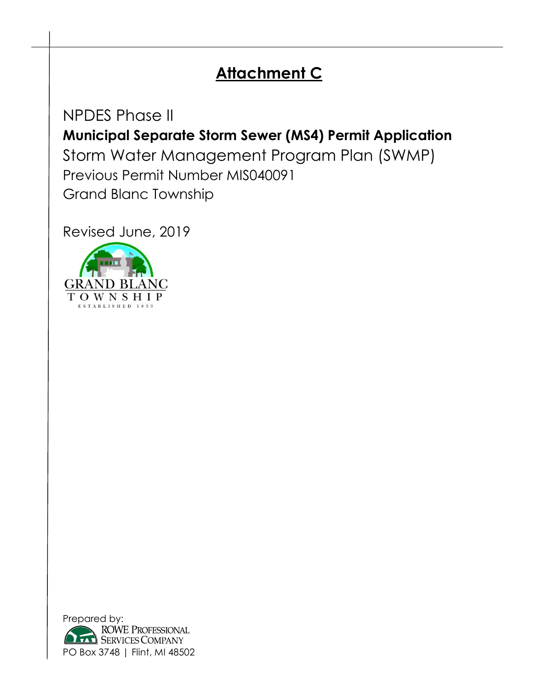# **Attachment C**

NPDES Phase II **Municipal Separate Storm Sewer (MS4) Permit Application** Storm Water Management Program Plan (SWMP) Previous Permit Number MIS040091 Grand Blanc Township

Revised June, 2019



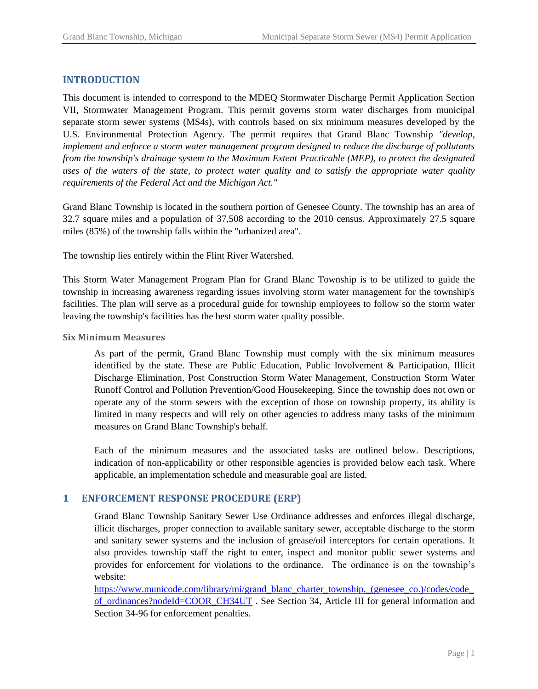## **INTRODUCTION**

This document is intended to correspond to the MDEQ Stormwater Discharge Permit Application Section VII, Stormwater Management Program. This permit governs storm water discharges from municipal separate storm sewer systems (MS4s), with controls based on six minimum measures developed by the U.S. Environmental Protection Agency. The permit requires that Grand Blanc Township *"develop, implement and enforce a storm water management program designed to reduce the discharge of pollutants from the township's drainage system to the Maximum Extent Practicable (MEP), to protect the designated uses of the waters of the state, to protect water quality and to satisfy the appropriate water quality requirements of the Federal Act and the Michigan Act."*

Grand Blanc Township is located in the southern portion of Genesee County. The township has an area of 32.7 square miles and a population of 37,508 according to the 2010 census. Approximately 27.5 square miles (85%) of the township falls within the "urbanized area".

The township lies entirely within the Flint River Watershed.

This Storm Water Management Program Plan for Grand Blanc Township is to be utilized to guide the township in increasing awareness regarding issues involving storm water management for the township's facilities. The plan will serve as a procedural guide for township employees to follow so the storm water leaving the township's facilities has the best storm water quality possible.

#### **Six Minimum Measures**

As part of the permit, Grand Blanc Township must comply with the six minimum measures identified by the state. These are Public Education, Public Involvement & Participation, Illicit Discharge Elimination, Post Construction Storm Water Management, Construction Storm Water Runoff Control and Pollution Prevention/Good Housekeeping. Since the township does not own or operate any of the storm sewers with the exception of those on township property, its ability is limited in many respects and will rely on other agencies to address many tasks of the minimum measures on Grand Blanc Township's behalf.

Each of the minimum measures and the associated tasks are outlined below. Descriptions, indication of non-applicability or other responsible agencies is provided below each task. Where applicable, an implementation schedule and measurable goal are listed.

## **1 ENFORCEMENT RESPONSE PROCEDURE (ERP)**

Grand Blanc Township Sanitary Sewer Use Ordinance addresses and enforces illegal discharge, illicit discharges, proper connection to available sanitary sewer, acceptable discharge to the storm and sanitary sewer systems and the inclusion of grease/oil interceptors for certain operations. It also provides township staff the right to enter, inspect and monitor public sewer systems and provides for enforcement for violations to the ordinance. The ordinance is on the township's website:

https://www.municode.com/library/mi/grand\_blanc\_charter\_township,\_(genesee\_co.)/codes/code [of\\_ordinances?nodeId=COOR\\_CH34UT](https://www.municode.com/library/mi/grand_blanc_charter_township,_(genesee_co.)/codes/code_of_ordinances?nodeId=COOR_CH34UT) . See Section 34, Article III for general information and Section 34-96 for enforcement penalties.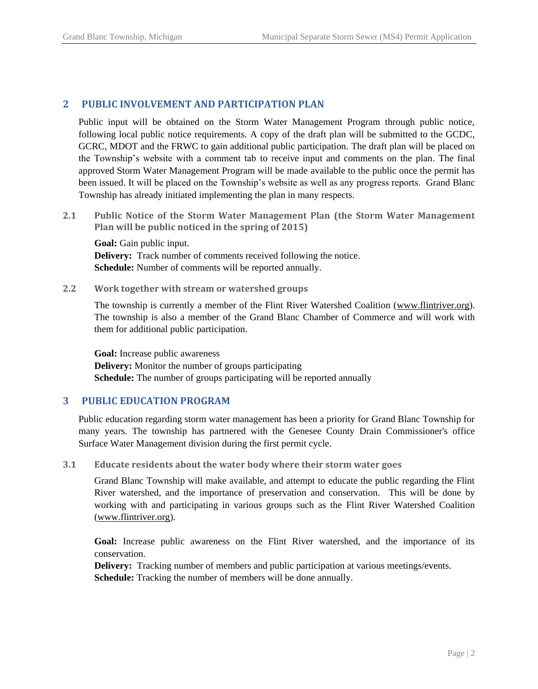# **2 PUBLIC INVOLVEMENT AND PARTICIPATION PLAN**

Public input will be obtained on the Storm Water Management Program through public notice, following local public notice requirements. A copy of the draft plan will be submitted to the GCDC, GCRC, MDOT and the FRWC to gain additional public participation. The draft plan will be placed on the Township's website with a comment tab to receive input and comments on the plan. The final approved Storm Water Management Program will be made available to the public once the permit has been issued. It will be placed on the Township's website as well as any progress reports. Grand Blanc Township has already initiated implementing the plan in many respects.

**2.1 Public Notice of the Storm Water Management Plan (the Storm Water Management Plan will be public noticed in the spring of 2015)**

**Goal:** Gain public input. **Delivery:** Track number of comments received following the notice. **Schedule:** Number of comments will be reported annually.

**2.2 Work together with stream or watershed groups**

The township is currently a member of the Flint River Watershed Coalition [\(www.flintriver.org\)](http://www.flintriver.org/). The township is also a member of the Grand Blanc Chamber of Commerce and will work with them for additional public participation.

**Goal:** Increase public awareness **Delivery:** Monitor the number of groups participating **Schedule:** The number of groups participating will be reported annually

# **3 PUBLIC EDUCATION PROGRAM**

Public education regarding storm water management has been a priority for Grand Blanc Township for many years. The township has partnered with the Genesee County Drain Commissioner's office Surface Water Management division during the first permit cycle.

**3.1 Educate residents about the water body where their storm water goes**

Grand Blanc Township will make available, and attempt to educate the public regarding the Flint River watershed, and the importance of preservation and conservation. This will be done by working with and participating in various groups such as the Flint River Watershed Coalition [\(www.flintriver.org\)](http://www.flintriver.org/).

**Goal:** Increase public awareness on the Flint River watershed, and the importance of its conservation.

**Delivery:** Tracking number of members and public participation at various meetings/events. **Schedule:** Tracking the number of members will be done annually.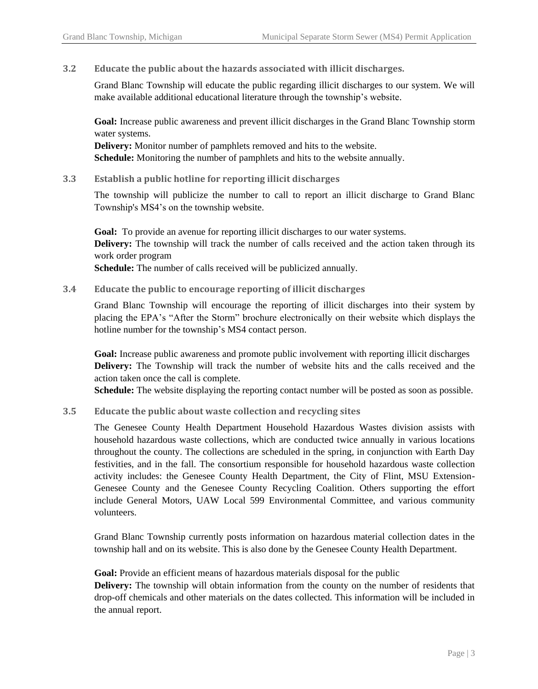## **3.2 Educate the public about the hazards associated with illicit discharges.**

Grand Blanc Township will educate the public regarding illicit discharges to our system. We will make available additional educational literature through the township's website.

**Goal:** Increase public awareness and prevent illicit discharges in the Grand Blanc Township storm water systems.

**Delivery:** Monitor number of pamphlets removed and hits to the website. **Schedule:** Monitoring the number of pamphlets and hits to the website annually.

## **3.3 Establish a public hotline for reporting illicit discharges**

The township will publicize the number to call to report an illicit discharge to Grand Blanc Township's MS4's on the township website.

**Goal:** To provide an avenue for reporting illicit discharges to our water systems. **Delivery:** The township will track the number of calls received and the action taken through its work order program

**Schedule:** The number of calls received will be publicized annually.

## **3.4 Educate the public to encourage reporting of illicit discharges**

Grand Blanc Township will encourage the reporting of illicit discharges into their system by placing the EPA's "After the Storm" brochure electronically on their website which displays the hotline number for the township's MS4 contact person.

**Goal:** Increase public awareness and promote public involvement with reporting illicit discharges **Delivery:** The Township will track the number of website hits and the calls received and the action taken once the call is complete.

**Schedule:** The website displaying the reporting contact number will be posted as soon as possible.

#### **3.5 Educate the public about waste collection and recycling sites**

The Genesee County Health Department Household Hazardous Wastes division assists with household hazardous waste collections, which are conducted twice annually in various locations throughout the county. The collections are scheduled in the spring, in conjunction with Earth Day festivities, and in the fall. The consortium responsible for household hazardous waste collection activity includes: the Genesee County Health Department, the City of Flint, MSU Extension-Genesee County and the Genesee County Recycling Coalition. Others supporting the effort include General Motors, UAW Local 599 Environmental Committee, and various community volunteers.

Grand Blanc Township currently posts information on hazardous material collection dates in the township hall and on its website. This is also done by the Genesee County Health Department.

Goal: Provide an efficient means of hazardous materials disposal for the public

**Delivery:** The township will obtain information from the county on the number of residents that drop-off chemicals and other materials on the dates collected. This information will be included in the annual report.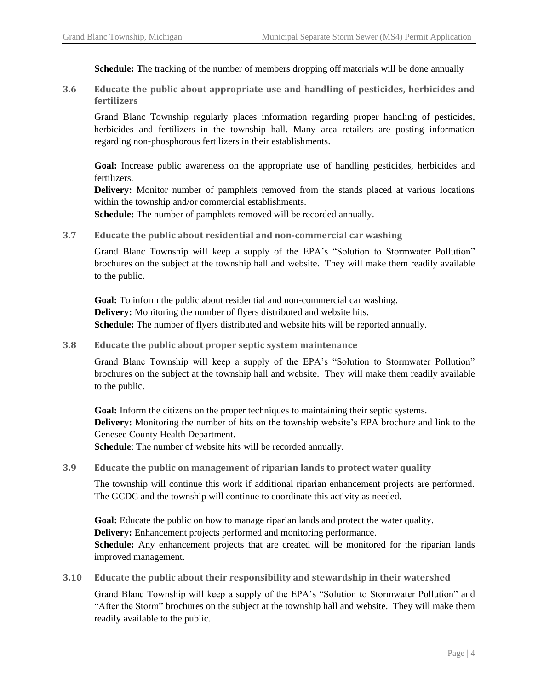**Schedule: T**he tracking of the number of members dropping off materials will be done annually

**3.6 Educate the public about appropriate use and handling of pesticides, herbicides and fertilizers**

Grand Blanc Township regularly places information regarding proper handling of pesticides, herbicides and fertilizers in the township hall. Many area retailers are posting information regarding non-phosphorous fertilizers in their establishments.

**Goal:** Increase public awareness on the appropriate use of handling pesticides, herbicides and fertilizers.

**Delivery:** Monitor number of pamphlets removed from the stands placed at various locations within the township and/or commercial establishments.

**Schedule:** The number of pamphlets removed will be recorded annually.

**3.7 Educate the public about residential and non-commercial car washing**

Grand Blanc Township will keep a supply of the EPA's "Solution to Stormwater Pollution" brochures on the subject at the township hall and website. They will make them readily available to the public.

**Goal:** To inform the public about residential and non-commercial car washing. **Delivery:** Monitoring the number of flyers distributed and website hits. **Schedule:** The number of flyers distributed and website hits will be reported annually.

**3.8 Educate the public about proper septic system maintenance**

Grand Blanc Township will keep a supply of the EPA's "Solution to Stormwater Pollution" brochures on the subject at the township hall and website. They will make them readily available to the public.

**Goal:** Inform the citizens on the proper techniques to maintaining their septic systems. **Delivery:** Monitoring the number of hits on the township website's EPA brochure and link to the Genesee County Health Department.

**Schedule**: The number of website hits will be recorded annually.

**3.9 Educate the public on management of riparian lands to protect water quality**

The township will continue this work if additional riparian enhancement projects are performed. The GCDC and the township will continue to coordinate this activity as needed.

**Goal:** Educate the public on how to manage riparian lands and protect the water quality. **Delivery:** Enhancement projects performed and monitoring performance. **Schedule:** Any enhancement projects that are created will be monitored for the riparian lands improved management.

**3.10 Educate the public about their responsibility and stewardship in their watershed**

Grand Blanc Township will keep a supply of the EPA's "Solution to Stormwater Pollution" and "After the Storm" brochures on the subject at the township hall and website. They will make them readily available to the public.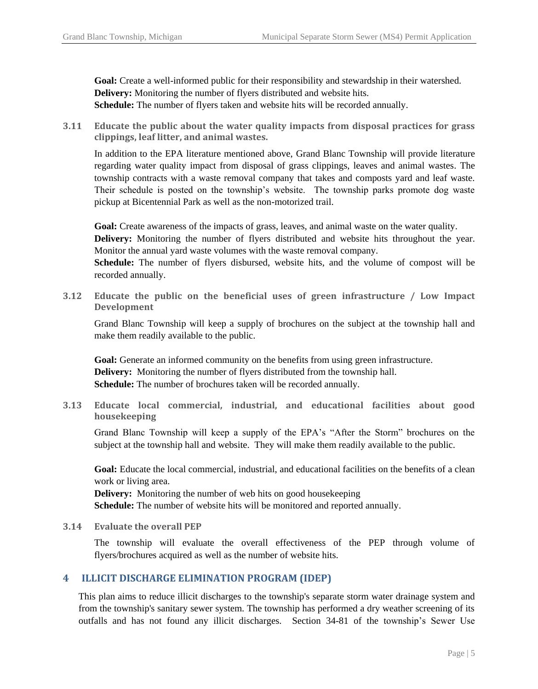**Goal:** Create a well-informed public for their responsibility and stewardship in their watershed. **Delivery:** Monitoring the number of flyers distributed and website hits. **Schedule:** The number of flyers taken and website hits will be recorded annually.

**3.11 Educate the public about the water quality impacts from disposal practices for grass clippings, leaf litter, and animal wastes.**

In addition to the EPA literature mentioned above, Grand Blanc Township will provide literature regarding water quality impact from disposal of grass clippings, leaves and animal wastes. The township contracts with a waste removal company that takes and composts yard and leaf waste. Their schedule is posted on the township's website. The township parks promote dog waste pickup at Bicentennial Park as well as the non-motorized trail.

**Goal:** Create awareness of the impacts of grass, leaves, and animal waste on the water quality.

**Delivery:** Monitoring the number of flyers distributed and website hits throughout the year. Monitor the annual yard waste volumes with the waste removal company.

**Schedule:** The number of flyers disbursed, website hits, and the volume of compost will be recorded annually.

**3.12 Educate the public on the beneficial uses of green infrastructure / Low Impact Development**

Grand Blanc Township will keep a supply of brochures on the subject at the township hall and make them readily available to the public.

**Goal:** Generate an informed community on the benefits from using green infrastructure. **Delivery:** Monitoring the number of flyers distributed from the township hall. **Schedule:** The number of brochures taken will be recorded annually.

**3.13 Educate local commercial, industrial, and educational facilities about good housekeeping**

Grand Blanc Township will keep a supply of the EPA's "After the Storm" brochures on the subject at the township hall and website. They will make them readily available to the public.

**Goal:** Educate the local commercial, industrial, and educational facilities on the benefits of a clean work or living area.

**Delivery:** Monitoring the number of web hits on good housekeeping **Schedule:** The number of website hits will be monitored and reported annually.

**3.14 Evaluate the overall PEP**

The township will evaluate the overall effectiveness of the PEP through volume of flyers/brochures acquired as well as the number of website hits.

## **4 ILLICIT DISCHARGE ELIMINATION PROGRAM (IDEP)**

This plan aims to reduce illicit discharges to the township's separate storm water drainage system and from the township's sanitary sewer system. The township has performed a dry weather screening of its outfalls and has not found any illicit discharges. Section 34-81 of the township's Sewer Use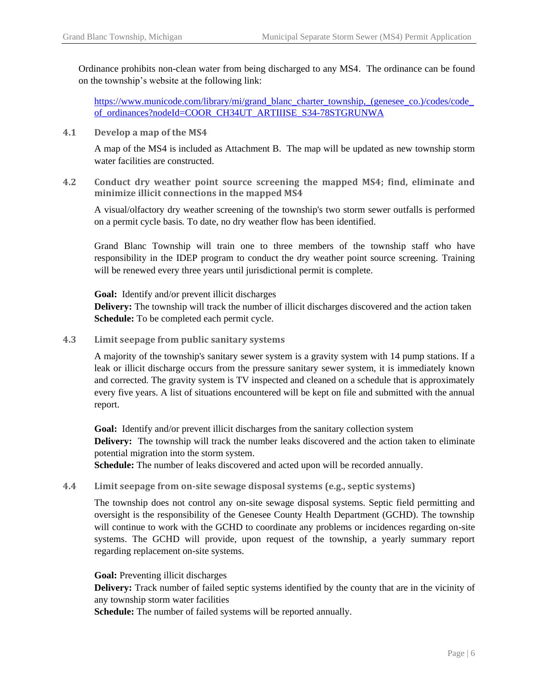Ordinance prohibits non-clean water from being discharged to any MS4. The ordinance can be found on the township's website at the following link:

[https://www.municode.com/library/mi/grand\\_blanc\\_charter\\_township,\\_\(genesee\\_co.\)/codes/code\\_](https://www.municode.com/library/mi/grand_blanc_charter_township,_(genesee_co.)/codes/code_of_ordinances?nodeId=COOR_CH34UT_ARTIIISE_S34-78STGRUNWA) [of\\_ordinances?nodeId=COOR\\_CH34UT\\_ARTIIISE\\_S34-78STGRUNWA](https://www.municode.com/library/mi/grand_blanc_charter_township,_(genesee_co.)/codes/code_of_ordinances?nodeId=COOR_CH34UT_ARTIIISE_S34-78STGRUNWA)

**4.1 Develop a map of the MS4**

A map of the MS4 is included as Attachment B. The map will be updated as new township storm water facilities are constructed.

**4.2 Conduct dry weather point source screening the mapped MS4; find, eliminate and minimize illicit connections in the mapped MS4**

A visual/olfactory dry weather screening of the township's two storm sewer outfalls is performed on a permit cycle basis*.* To date, no dry weather flow has been identified.

Grand Blanc Township will train one to three members of the township staff who have responsibility in the IDEP program to conduct the dry weather point source screening. Training will be renewed every three years until jurisdictional permit is complete.

**Goal:** Identify and/or prevent illicit discharges

**Delivery:** The township will track the number of illicit discharges discovered and the action taken **Schedule:** To be completed each permit cycle.

**4.3 Limit seepage from public sanitary systems**

A majority of the township's sanitary sewer system is a gravity system with 14 pump stations. If a leak or illicit discharge occurs from the pressure sanitary sewer system, it is immediately known and corrected. The gravity system is TV inspected and cleaned on a schedule that is approximately every five years. A list of situations encountered will be kept on file and submitted with the annual report.

**Goal:** Identify and/or prevent illicit discharges from the sanitary collection system **Delivery:** The township will track the number leaks discovered and the action taken to eliminate potential migration into the storm system.

**Schedule:** The number of leaks discovered and acted upon will be recorded annually.

**4.4 Limit seepage from on-site sewage disposal systems (e.g., septic systems)**

The township does not control any on-site sewage disposal systems. Septic field permitting and oversight is the responsibility of the Genesee County Health Department (GCHD). The township will continue to work with the GCHD to coordinate any problems or incidences regarding on-site systems. The GCHD will provide, upon request of the township, a yearly summary report regarding replacement on-site systems.

**Goal:** Preventing illicit discharges

**Delivery:** Track number of failed septic systems identified by the county that are in the vicinity of any township storm water facilities

**Schedule:** The number of failed systems will be reported annually.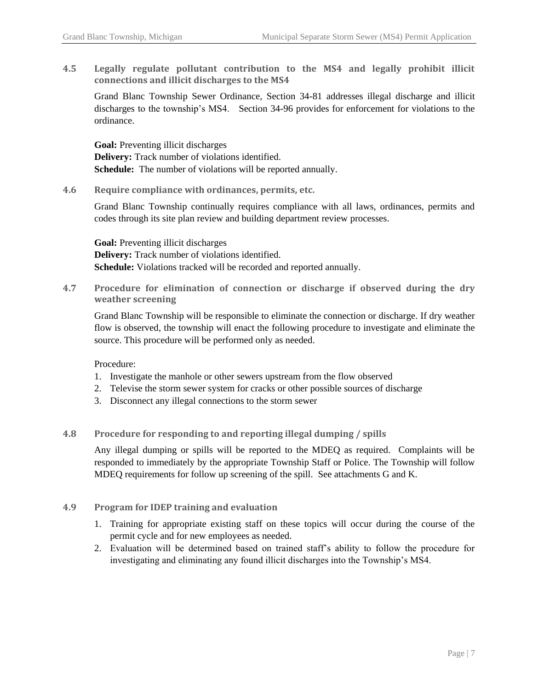**4.5 Legally regulate pollutant contribution to the MS4 and legally prohibit illicit connections and illicit discharges to the MS4**

Grand Blanc Township Sewer Ordinance, Section 34-81 addresses illegal discharge and illicit discharges to the township's MS4. Section 34-96 provides for enforcement for violations to the ordinance.

**Goal:** Preventing illicit discharges **Delivery:** Track number of violations identified. **Schedule:** The number of violations will be reported annually.

**4.6 Require compliance with ordinances, permits, etc.**

Grand Blanc Township continually requires compliance with all laws, ordinances, permits and codes through its site plan review and building department review processes.

**Goal:** Preventing illicit discharges **Delivery:** Track number of violations identified. **Schedule:** Violations tracked will be recorded and reported annually.

**4.7 Procedure for elimination of connection or discharge if observed during the dry weather screening**

Grand Blanc Township will be responsible to eliminate the connection or discharge. If dry weather flow is observed, the township will enact the following procedure to investigate and eliminate the source. This procedure will be performed only as needed.

Procedure:

- 1. Investigate the manhole or other sewers upstream from the flow observed
- 2. Televise the storm sewer system for cracks or other possible sources of discharge
- 3. Disconnect any illegal connections to the storm sewer
- **4.8 Procedure for responding to and reporting illegal dumping / spills**

Any illegal dumping or spills will be reported to the MDEQ as required. Complaints will be responded to immediately by the appropriate Township Staff or Police. The Township will follow MDEQ requirements for follow up screening of the spill. See attachments G and K.

## **4.9 Program for IDEP training and evaluation**

- 1. Training for appropriate existing staff on these topics will occur during the course of the permit cycle and for new employees as needed.
- 2. Evaluation will be determined based on trained staff's ability to follow the procedure for investigating and eliminating any found illicit discharges into the Township's MS4.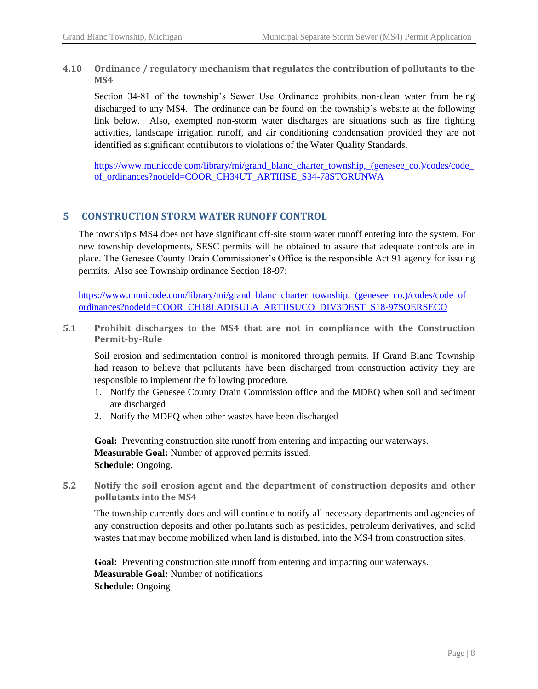**4.10 Ordinance / regulatory mechanism that regulates the contribution of pollutants to the MS4**

Section 34-81 of the township's Sewer Use Ordinance prohibits non-clean water from being discharged to any MS4. The ordinance can be found on the township's website at the following link below. Also, exempted non-storm water discharges are situations such as fire fighting activities, landscape irrigation runoff, and air conditioning condensation provided they are not identified as significant contributors to violations of the Water Quality Standards.

https://www.municode.com/library/mi/grand\_blanc\_charter\_township,\_(genesee\_co.)/codes/code [of\\_ordinances?nodeId=COOR\\_CH34UT\\_ARTIIISE\\_S34-78STGRUNWA](https://www.municode.com/library/mi/grand_blanc_charter_township,_(genesee_co.)/codes/code_of_ordinances?nodeId=COOR_CH34UT_ARTIIISE_S34-78STGRUNWA)

# **5 CONSTRUCTION STORM WATER RUNOFF CONTROL**

The township's MS4 does not have significant off-site storm water runoff entering into the system. For new township developments, SESC permits will be obtained to assure that adequate controls are in place. The Genesee County Drain Commissioner's Office is the responsible Act 91 agency for issuing permits. Also see Township ordinance Section 18-97:

https://www.municode.com/library/mi/grand\_blanc\_charter\_township,\_(genesee\_co.)/codes/code\_of [ordinances?nodeId=COOR\\_CH18LADISULA\\_ARTIISUCO\\_DIV3DEST\\_S18-97SOERSECO](https://www.municode.com/library/mi/grand_blanc_charter_township,_(genesee_co.)/codes/code_of_ordinances?nodeId=COOR_CH18LADISULA_ARTIISUCO_DIV3DEST_S18-97SOERSECO) 

**5.1 Prohibit discharges to the MS4 that are not in compliance with the Construction Permit-by-Rule**

Soil erosion and sedimentation control is monitored through permits. If Grand Blanc Township had reason to believe that pollutants have been discharged from construction activity they are responsible to implement the following procedure.

- 1. Notify the Genesee County Drain Commission office and the MDEQ when soil and sediment are discharged
- 2. Notify the MDEQ when other wastes have been discharged

Goal: Preventing construction site runoff from entering and impacting our waterways. **Measurable Goal:** Number of approved permits issued. **Schedule:** Ongoing.

**5.2 Notify the soil erosion agent and the department of construction deposits and other pollutants into the MS4**

The township currently does and will continue to notify all necessary departments and agencies of any construction deposits and other pollutants such as pesticides, petroleum derivatives, and solid wastes that may become mobilized when land is disturbed, into the MS4 from construction sites.

Goal: Preventing construction site runoff from entering and impacting our waterways. **Measurable Goal:** Number of notifications **Schedule:** Ongoing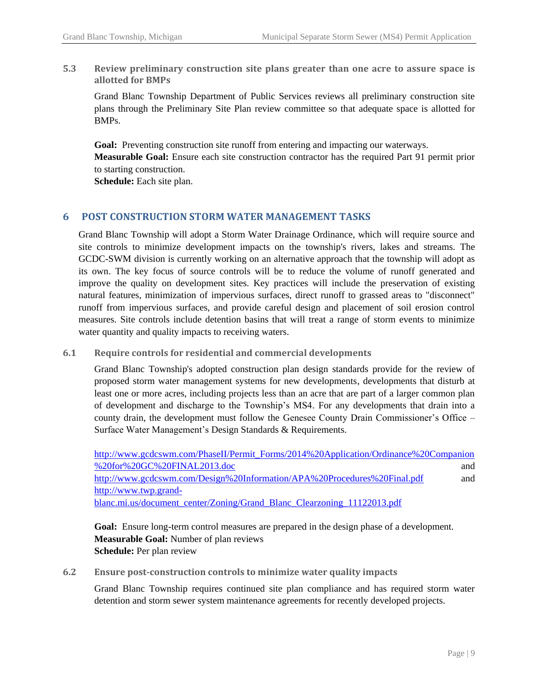**5.3 Review preliminary construction site plans greater than one acre to assure space is allotted for BMPs**

Grand Blanc Township Department of Public Services reviews all preliminary construction site plans through the Preliminary Site Plan review committee so that adequate space is allotted for BMPs.

Goal: Preventing construction site runoff from entering and impacting our waterways. **Measurable Goal:** Ensure each site construction contractor has the required Part 91 permit prior to starting construction.

**Schedule:** Each site plan.

## **6 POST CONSTRUCTION STORM WATER MANAGEMENT TASKS**

Grand Blanc Township will adopt a Storm Water Drainage Ordinance, which will require source and site controls to minimize development impacts on the township's rivers, lakes and streams. The GCDC-SWM division is currently working on an alternative approach that the township will adopt as its own. The key focus of source controls will be to reduce the volume of runoff generated and improve the quality on development sites. Key practices will include the preservation of existing natural features, minimization of impervious surfaces, direct runoff to grassed areas to "disconnect" runoff from impervious surfaces, and provide careful design and placement of soil erosion control measures. Site controls include detention basins that will treat a range of storm events to minimize water quantity and quality impacts to receiving waters.

#### **6.1 Require controls for residential and commercial developments**

Grand Blanc Township's adopted construction plan design standards provide for the review of proposed storm water management systems for new developments, developments that disturb at least one or more acres, including projects less than an acre that are part of a larger common plan of development and discharge to the Township's MS4. For any developments that drain into a county drain, the development must follow the Genesee County Drain Commissioner's Office – Surface Water Management's Design Standards & Requirements.

| http://www.gcdcswm.com/PhaseII/Permit_Forms/2014%20Application/Ordinance%20Companion |     |
|--------------------------------------------------------------------------------------|-----|
| %20for%20GC%20FINAL2013.doc                                                          | and |
| http://www.gcdcswm.com/Design%20Information/APA%20Procedures%20Final.pdf             | and |
| http://www.twp.grand-                                                                |     |
| blanc.mi.us/document_center/Zoning/Grand_Blanc_Clearzoning_11122013.pdf              |     |

**Goal:** Ensure long-term control measures are prepared in the design phase of a development. **Measurable Goal:** Number of plan reviews **Schedule:** Per plan review

**6.2 Ensure post-construction controls to minimize water quality impacts**

Grand Blanc Township requires continued site plan compliance and has required storm water detention and storm sewer system maintenance agreements for recently developed projects.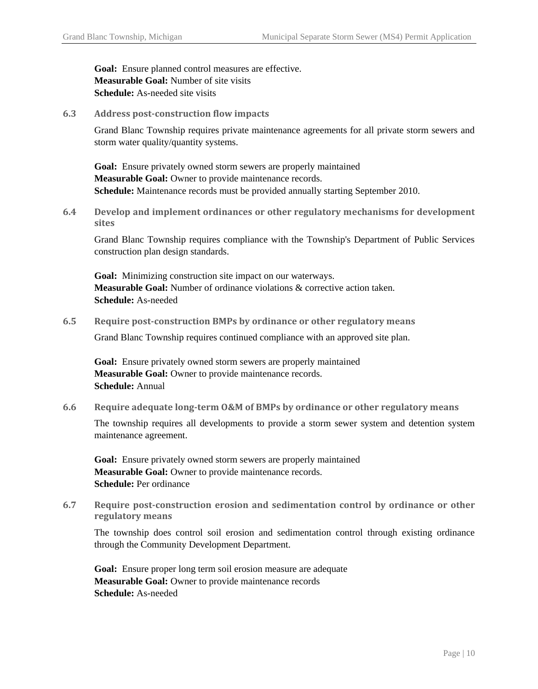**Goal:** Ensure planned control measures are effective. **Measurable Goal:** Number of site visits **Schedule:** As-needed site visits

**6.3 Address post-construction flow impacts**

Grand Blanc Township requires private maintenance agreements for all private storm sewers and storm water quality/quantity systems.

**Goal:** Ensure privately owned storm sewers are properly maintained **Measurable Goal:** Owner to provide maintenance records. **Schedule:** Maintenance records must be provided annually starting September 2010.

**6.4 Develop and implement ordinances or other regulatory mechanisms for development sites**

Grand Blanc Township requires compliance with the Township's Department of Public Services construction plan design standards.

**Goal:** Minimizing construction site impact on our waterways. **Measurable Goal:** Number of ordinance violations & corrective action taken. **Schedule:** As-needed

**6.5 Require post-construction BMPs by ordinance or other regulatory means**

Grand Blanc Township requires continued compliance with an approved site plan.

**Goal:** Ensure privately owned storm sewers are properly maintained **Measurable Goal:** Owner to provide maintenance records. **Schedule:** Annual

**6.6 Require adequate long-term O&M of BMPs by ordinance or other regulatory means**

The township requires all developments to provide a storm sewer system and detention system maintenance agreement.

**Goal:** Ensure privately owned storm sewers are properly maintained **Measurable Goal:** Owner to provide maintenance records. **Schedule:** Per ordinance

**6.7 Require post-construction erosion and sedimentation control by ordinance or other regulatory means**

The township does control soil erosion and sedimentation control through existing ordinance through the Community Development Department.

**Goal:** Ensure proper long term soil erosion measure are adequate **Measurable Goal:** Owner to provide maintenance records **Schedule:** As-needed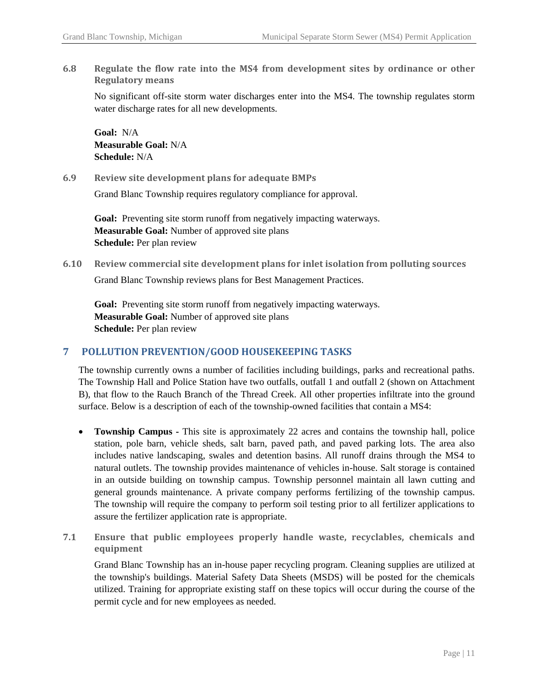**6.8 Regulate the flow rate into the MS4 from development sites by ordinance or other Regulatory means**

No significant off-site storm water discharges enter into the MS4. The township regulates storm water discharge rates for all new developments.

**Goal:** N/A **Measurable Goal:** N/A **Schedule:** N/A

**6.9 Review site development plans for adequate BMPs**

Grand Blanc Township requires regulatory compliance for approval.

Goal: Preventing site storm runoff from negatively impacting waterways. **Measurable Goal:** Number of approved site plans **Schedule:** Per plan review

**6.10 Review commercial site development plans for inlet isolation from polluting sources** Grand Blanc Township reviews plans for Best Management Practices.

Goal: Preventing site storm runoff from negatively impacting waterways. **Measurable Goal:** Number of approved site plans **Schedule:** Per plan review

# **7 POLLUTION PREVENTION/GOOD HOUSEKEEPING TASKS**

The township currently owns a number of facilities including buildings, parks and recreational paths. The Township Hall and Police Station have two outfalls, outfall 1 and outfall 2 (shown on Attachment B), that flow to the Rauch Branch of the Thread Creek. All other properties infiltrate into the ground surface. Below is a description of each of the township-owned facilities that contain a MS4:

- **Township Campus -** This site is approximately 22 acres and contains the township hall, police station, pole barn, vehicle sheds, salt barn, paved path, and paved parking lots. The area also includes native landscaping, swales and detention basins. All runoff drains through the MS4 to natural outlets. The township provides maintenance of vehicles in-house. Salt storage is contained in an outside building on township campus. Township personnel maintain all lawn cutting and general grounds maintenance. A private company performs fertilizing of the township campus. The township will require the company to perform soil testing prior to all fertilizer applications to assure the fertilizer application rate is appropriate.
- **7.1 Ensure that public employees properly handle waste, recyclables, chemicals and equipment**

Grand Blanc Township has an in-house paper recycling program. Cleaning supplies are utilized at the township's buildings. Material Safety Data Sheets (MSDS) will be posted for the chemicals utilized. Training for appropriate existing staff on these topics will occur during the course of the permit cycle and for new employees as needed.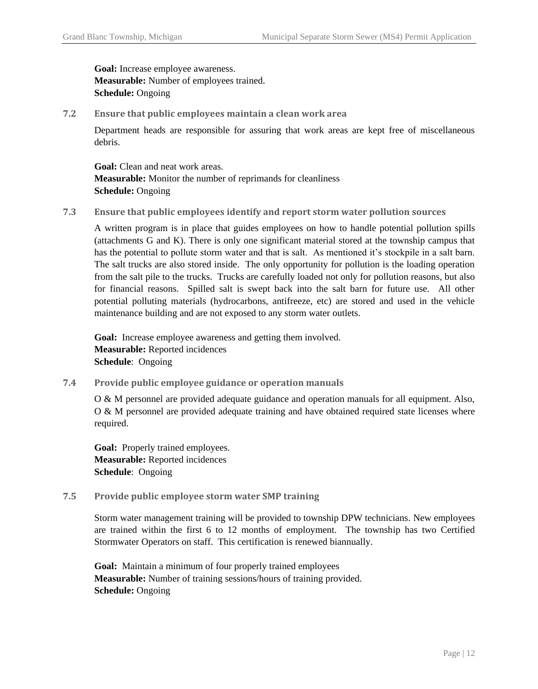**Goal:** Increase employee awareness. **Measurable:** Number of employees trained. **Schedule:** Ongoing

**7.2 Ensure that public employees maintain a clean work area**

Department heads are responsible for assuring that work areas are kept free of miscellaneous debris.

**Goal:** Clean and neat work areas. **Measurable:** Monitor the number of reprimands for cleanliness **Schedule:** Ongoing

**7.3 Ensure that public employees identify and report storm water pollution sources**

A written program is in place that guides employees on how to handle potential pollution spills (attachments G and K). There is only one significant material stored at the township campus that has the potential to pollute storm water and that is salt. As mentioned it's stockpile in a salt barn. The salt trucks are also stored inside. The only opportunity for pollution is the loading operation from the salt pile to the trucks. Trucks are carefully loaded not only for pollution reasons, but also for financial reasons. Spilled salt is swept back into the salt barn for future use. All other potential polluting materials (hydrocarbons, antifreeze, etc) are stored and used in the vehicle maintenance building and are not exposed to any storm water outlets.

**Goal:** Increase employee awareness and getting them involved. **Measurable:** Reported incidences **Schedule**: Ongoing

**7.4 Provide public employee guidance or operation manuals**

O & M personnel are provided adequate guidance and operation manuals for all equipment. Also, O & M personnel are provided adequate training and have obtained required state licenses where required.

Goal: Properly trained employees. **Measurable:** Reported incidences **Schedule**: Ongoing

**7.5 Provide public employee storm water SMP training**

Storm water management training will be provided to township DPW technicians. New employees are trained within the first 6 to 12 months of employment. The township has two Certified Stormwater Operators on staff. This certification is renewed biannually.

**Goal:** Maintain a minimum of four properly trained employees **Measurable:** Number of training sessions/hours of training provided. **Schedule:** Ongoing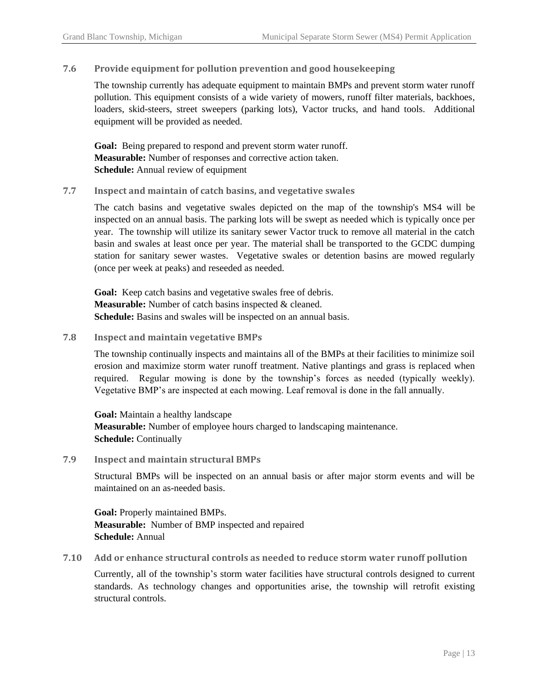## **7.6 Provide equipment for pollution prevention and good housekeeping**

The township currently has adequate equipment to maintain BMPs and prevent storm water runoff pollution. This equipment consists of a wide variety of mowers, runoff filter materials, backhoes, loaders, skid-steers, street sweepers (parking lots), Vactor trucks, and hand tools. Additional equipment will be provided as needed.

**Goal:** Being prepared to respond and prevent storm water runoff. **Measurable:** Number of responses and corrective action taken. **Schedule:** Annual review of equipment

## **7.7 Inspect and maintain of catch basins, and vegetative swales**

The catch basins and vegetative swales depicted on the map of the township's MS4 will be inspected on an annual basis. The parking lots will be swept as needed which is typically once per year. The township will utilize its sanitary sewer Vactor truck to remove all material in the catch basin and swales at least once per year. The material shall be transported to the GCDC dumping station for sanitary sewer wastes. Vegetative swales or detention basins are mowed regularly (once per week at peaks) and reseeded as needed.

**Goal:** Keep catch basins and vegetative swales free of debris. **Measurable:** Number of catch basins inspected & cleaned. **Schedule:** Basins and swales will be inspected on an annual basis.

## **7.8 Inspect and maintain vegetative BMPs**

The township continually inspects and maintains all of the BMPs at their facilities to minimize soil erosion and maximize storm water runoff treatment. Native plantings and grass is replaced when required. Regular mowing is done by the township's forces as needed (typically weekly). Vegetative BMP's are inspected at each mowing. Leaf removal is done in the fall annually.

**Goal:** Maintain a healthy landscape **Measurable:** Number of employee hours charged to landscaping maintenance. **Schedule:** Continually

**7.9 Inspect and maintain structural BMPs**

Structural BMPs will be inspected on an annual basis or after major storm events and will be maintained on an as-needed basis.

**Goal:** Properly maintained BMPs. **Measurable:** Number of BMP inspected and repaired **Schedule:** Annual

**7.10 Add or enhance structural controls as needed to reduce storm water runoff pollution**

Currently, all of the township's storm water facilities have structural controls designed to current standards. As technology changes and opportunities arise, the township will retrofit existing structural controls.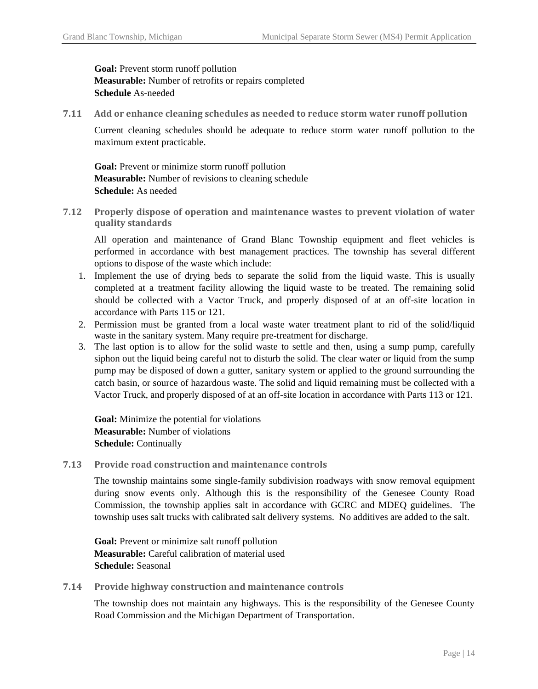# **Goal:** Prevent storm runoff pollution **Measurable:** Number of retrofits or repairs completed **Schedule** As-needed

**7.11 Add or enhance cleaning schedules as needed to reduce storm water runoff pollution**

Current cleaning schedules should be adequate to reduce storm water runoff pollution to the maximum extent practicable.

Goal: Prevent or minimize storm runoff pollution **Measurable:** Number of revisions to cleaning schedule **Schedule:** As needed

**7.12 Properly dispose of operation and maintenance wastes to prevent violation of water quality standards**

All operation and maintenance of Grand Blanc Township equipment and fleet vehicles is performed in accordance with best management practices. The township has several different options to dispose of the waste which include:

- 1. Implement the use of drying beds to separate the solid from the liquid waste. This is usually completed at a treatment facility allowing the liquid waste to be treated. The remaining solid should be collected with a Vactor Truck, and properly disposed of at an off-site location in accordance with Parts 115 or 121.
- 2. Permission must be granted from a local waste water treatment plant to rid of the solid/liquid waste in the sanitary system. Many require pre-treatment for discharge.
- 3. The last option is to allow for the solid waste to settle and then, using a sump pump, carefully siphon out the liquid being careful not to disturb the solid. The clear water or liquid from the sump pump may be disposed of down a gutter, sanitary system or applied to the ground surrounding the catch basin, or source of hazardous waste. The solid and liquid remaining must be collected with a Vactor Truck, and properly disposed of at an off-site location in accordance with Parts 113 or 121.

**Goal:** Minimize the potential for violations **Measurable:** Number of violations **Schedule:** Continually

**7.13 Provide road construction and maintenance controls**

The township maintains some single-family subdivision roadways with snow removal equipment during snow events only. Although this is the responsibility of the Genesee County Road Commission, the township applies salt in accordance with GCRC and MDEQ guidelines. The township uses salt trucks with calibrated salt delivery systems. No additives are added to the salt.

**Goal:** Prevent or minimize salt runoff pollution **Measurable:** Careful calibration of material used **Schedule:** Seasonal

**7.14 Provide highway construction and maintenance controls**

The township does not maintain any highways. This is the responsibility of the Genesee County Road Commission and the Michigan Department of Transportation.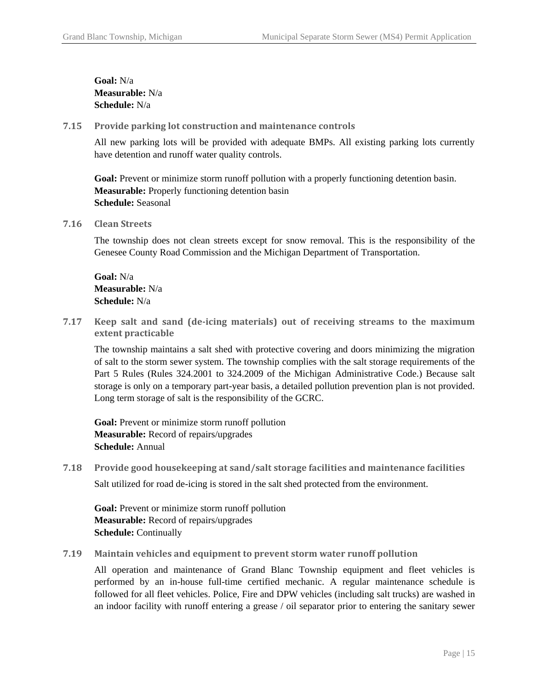**Goal:** N/a **Measurable:** N/a **Schedule:** N/a

**7.15 Provide parking lot construction and maintenance controls**

All new parking lots will be provided with adequate BMPs. All existing parking lots currently have detention and runoff water quality controls.

Goal: Prevent or minimize storm runoff pollution with a properly functioning detention basin. **Measurable:** Properly functioning detention basin **Schedule:** Seasonal

**7.16 Clean Streets**

The township does not clean streets except for snow removal. This is the responsibility of the Genesee County Road Commission and the Michigan Department of Transportation.

**Goal:** N/a **Measurable:** N/a **Schedule:** N/a

**7.17 Keep salt and sand (de-icing materials) out of receiving streams to the maximum extent practicable**

The township maintains a salt shed with protective covering and doors minimizing the migration of salt to the storm sewer system. The township complies with the salt storage requirements of the Part 5 Rules (Rules 324.2001 to 324.2009 of the Michigan Administrative Code.) Because salt storage is only on a temporary part-year basis, a detailed pollution prevention plan is not provided. Long term storage of salt is the responsibility of the GCRC.

Goal: Prevent or minimize storm runoff pollution **Measurable:** Record of repairs/upgrades **Schedule:** Annual

**7.18 Provide good housekeeping at sand/salt storage facilities and maintenance facilities** Salt utilized for road de-icing is stored in the salt shed protected from the environment.

**Goal:** Prevent or minimize storm runoff pollution **Measurable:** Record of repairs/upgrades **Schedule:** Continually

**7.19 Maintain vehicles and equipment to prevent storm water runoff pollution**

All operation and maintenance of Grand Blanc Township equipment and fleet vehicles is performed by an in-house full-time certified mechanic. A regular maintenance schedule is followed for all fleet vehicles. Police, Fire and DPW vehicles (including salt trucks) are washed in an indoor facility with runoff entering a grease / oil separator prior to entering the sanitary sewer